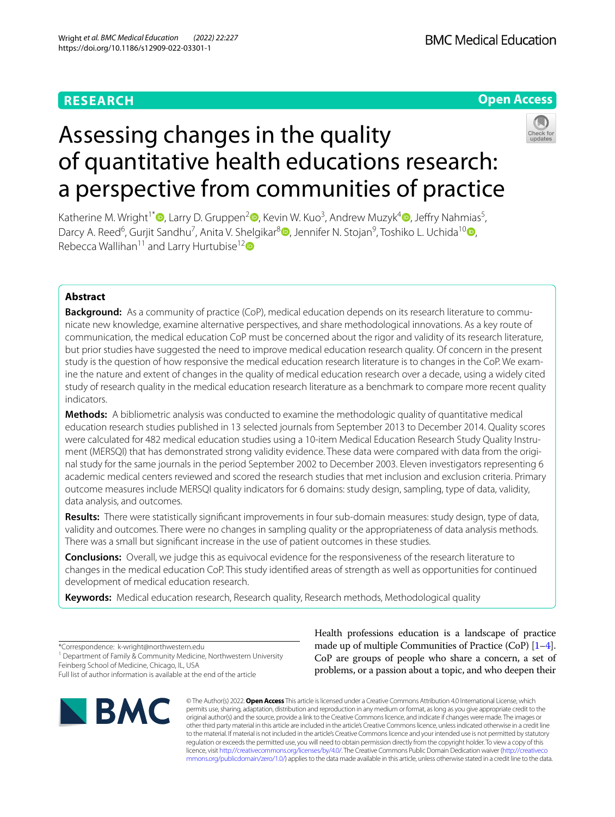# **RESEARCH**

**Open Access**

# Assessing changes in the quality of quantitative health educations research: a perspective from communities of practice



Katherine M. Wright<sup>1\*</sup><sup>D</sup>[,](https://orcid.org/0000-0001-5967-8156) Larry D. Gruppen<sup>2</sup><sup>O</sup>[,](https://orcid.org/0000-0002-6904-2466) Kevin W. Kuo<sup>3</sup>, Andrew Muzyk<sup>4</sup>O, Jeffry Nahmias<sup>5</sup>, Darcy A. Reed<sup>6</sup>[,](http://orcid.org/0000-0002-3629-0084) Gurjit Sandhu<sup>7</sup>, Anita V. Shelgikar<sup>8</sup><sup>®</sup>, Jennifer N. Stojan<sup>9</sup>, Toshiko L. Uchida<sup>1[0](https://orcid.org/0000-0002-3251-5872)</sup><sup>®</sup>, Rebecca Wallihan<sup>11</sup> and Larry Hurtubise<sup>1[2](http://orcid.org/0000-0002-2150-8933)</sup>

# **Abstract**

**Background:** As a community of practice (CoP), medical education depends on its research literature to communicate new knowledge, examine alternative perspectives, and share methodological innovations. As a key route of communication, the medical education CoP must be concerned about the rigor and validity of its research literature, but prior studies have suggested the need to improve medical education research quality. Of concern in the present study is the question of how responsive the medical education research literature is to changes in the CoP. We examine the nature and extent of changes in the quality of medical education research over a decade, using a widely cited study of research quality in the medical education research literature as a benchmark to compare more recent quality indicators.

**Methods:** A bibliometric analysis was conducted to examine the methodologic quality of quantitative medical education research studies published in 13 selected journals from September 2013 to December 2014. Quality scores were calculated for 482 medical education studies using a 10-item Medical Education Research Study Quality Instrument (MERSQI) that has demonstrated strong validity evidence. These data were compared with data from the original study for the same journals in the period September 2002 to December 2003. Eleven investigators representing 6 academic medical centers reviewed and scored the research studies that met inclusion and exclusion criteria. Primary outcome measures include MERSQI quality indicators for 6 domains: study design, sampling, type of data, validity, data analysis, and outcomes.

**Results:** There were statistically signifcant improvements in four sub-domain measures: study design, type of data, validity and outcomes. There were no changes in sampling quality or the appropriateness of data analysis methods. There was a small but signifcant increase in the use of patient outcomes in these studies.

**Conclusions:** Overall, we judge this as equivocal evidence for the responsiveness of the research literature to changes in the medical education CoP. This study identifed areas of strength as well as opportunities for continued development of medical education research.

**Keywords:** Medical education research, Research quality, Research methods, Methodological quality

\*Correspondence: k-wright@northwestern.edu <sup>1</sup> Department of Family & Community Medicine, Northwestern University Feinberg School of Medicine, Chicago, IL, USA

Full list of author information is available at the end of the article



Health professions education is a landscape of practice made up of multiple Communities of Practice (CoP)  $[1-4]$  $[1-4]$  $[1-4]$ . CoP are groups of people who share a concern, a set of problems, or a passion about a topic, and who deepen their

© The Author(s) 2022. **Open Access** This article is licensed under a Creative Commons Attribution 4.0 International License, which permits use, sharing, adaptation, distribution and reproduction in any medium or format, as long as you give appropriate credit to the original author(s) and the source, provide a link to the Creative Commons licence, and indicate if changes were made. The images or other third party material in this article are included in the article's Creative Commons licence, unless indicated otherwise in a credit line to the material. If material is not included in the article's Creative Commons licence and your intended use is not permitted by statutory regulation or exceeds the permitted use, you will need to obtain permission directly from the copyright holder. To view a copy of this licence, visit [http://creativecommons.org/licenses/by/4.0/.](http://creativecommons.org/licenses/by/4.0/) The Creative Commons Public Domain Dedication waiver ([http://creativeco](http://creativecommons.org/publicdomain/zero/1.0/) [mmons.org/publicdomain/zero/1.0/](http://creativecommons.org/publicdomain/zero/1.0/)) applies to the data made available in this article, unless otherwise stated in a credit line to the data.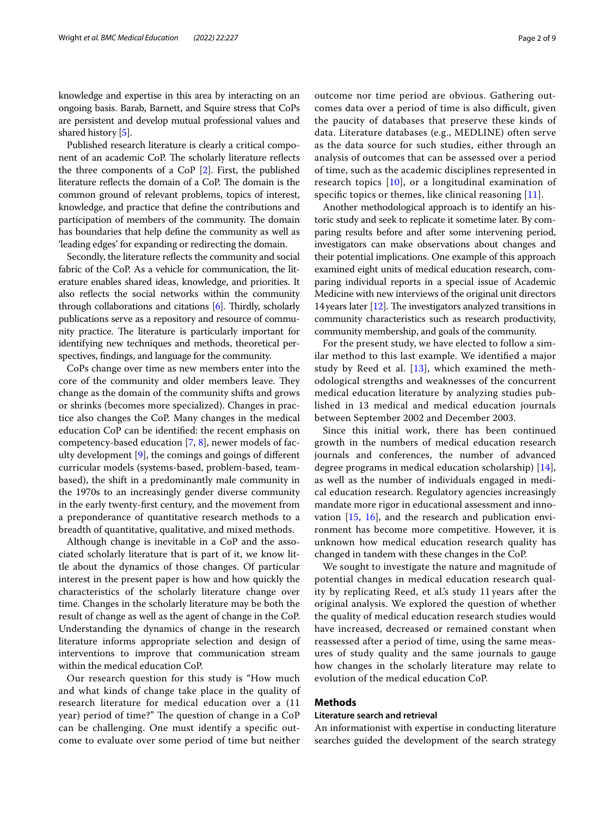Published research literature is clearly a critical component of an academic CoP. The scholarly literature reflects the three components of a CoP [\[2](#page-7-1)]. First, the published literature reflects the domain of a CoP. The domain is the common ground of relevant problems, topics of interest, knowledge, and practice that defne the contributions and participation of members of the community. The domain has boundaries that help defne the community as well as 'leading edges' for expanding or redirecting the domain.

Secondly, the literature refects the community and social fabric of the CoP. As a vehicle for communication, the literature enables shared ideas, knowledge, and priorities. It also refects the social networks within the community through collaborations and citations  $[6]$  $[6]$  $[6]$ . Thirdly, scholarly publications serve as a repository and resource of community practice. The literature is particularly important for identifying new techniques and methods, theoretical perspectives, fndings, and language for the community.

CoPs change over time as new members enter into the core of the community and older members leave. They change as the domain of the community shifts and grows or shrinks (becomes more specialized). Changes in practice also changes the CoP. Many changes in the medical education CoP can be identifed: the recent emphasis on competency-based education [\[7](#page-8-3), [8\]](#page-8-4), newer models of faculty development [[9](#page-8-5)], the comings and goings of diferent curricular models (systems-based, problem-based, teambased), the shift in a predominantly male community in the 1970s to an increasingly gender diverse community in the early twenty-frst century, and the movement from a preponderance of quantitative research methods to a breadth of quantitative, qualitative, and mixed methods.

Although change is inevitable in a CoP and the associated scholarly literature that is part of it, we know little about the dynamics of those changes. Of particular interest in the present paper is how and how quickly the characteristics of the scholarly literature change over time. Changes in the scholarly literature may be both the result of change as well as the agent of change in the CoP. Understanding the dynamics of change in the research literature informs appropriate selection and design of interventions to improve that communication stream within the medical education CoP.

Our research question for this study is "How much and what kinds of change take place in the quality of research literature for medical education over a (11 year) period of time?" The question of change in a CoP can be challenging. One must identify a specifc outcome to evaluate over some period of time but neither outcome nor time period are obvious. Gathering outcomes data over a period of time is also difficult, given the paucity of databases that preserve these kinds of data. Literature databases (e.g., MEDLINE) often serve as the data source for such studies, either through an analysis of outcomes that can be assessed over a period of time, such as the academic disciplines represented in research topics [\[10](#page-8-6)], or a longitudinal examination of specifc topics or themes, like clinical reasoning [[11](#page-8-7)].

Another methodological approach is to identify an historic study and seek to replicate it sometime later. By comparing results before and after some intervening period, investigators can make observations about changes and their potential implications. One example of this approach examined eight units of medical education research, comparing individual reports in a special issue of Academic Medicine with new interviews of the original unit directors 14 years later  $[12]$  $[12]$ . The investigators analyzed transitions in community characteristics such as research productivity, community membership, and goals of the community.

For the present study, we have elected to follow a similar method to this last example. We identifed a major study by Reed et al.  $[13]$  $[13]$ , which examined the methodological strengths and weaknesses of the concurrent medical education literature by analyzing studies published in 13 medical and medical education journals between September 2002 and December 2003.

Since this initial work, there has been continued growth in the numbers of medical education research journals and conferences, the number of advanced degree programs in medical education scholarship) [\[14](#page-8-10)], as well as the number of individuals engaged in medical education research. Regulatory agencies increasingly mandate more rigor in educational assessment and innovation [[15,](#page-8-11) [16\]](#page-8-12), and the research and publication environment has become more competitive. However, it is unknown how medical education research quality has changed in tandem with these changes in the CoP.

We sought to investigate the nature and magnitude of potential changes in medical education research quality by replicating Reed, et al.'s study 11 years after the original analysis. We explored the question of whether the quality of medical education research studies would have increased, decreased or remained constant when reassessed after a period of time, using the same measures of study quality and the same journals to gauge how changes in the scholarly literature may relate to evolution of the medical education CoP.

# **Methods**

# **Literature search and retrieval**

An informationist with expertise in conducting literature searches guided the development of the search strategy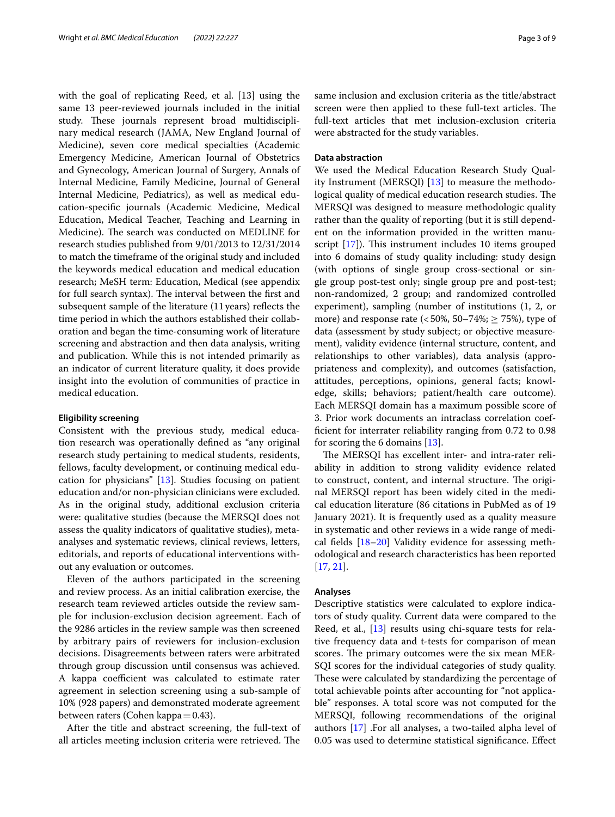with the goal of replicating Reed, et al. [13] using the same 13 peer-reviewed journals included in the initial study. These journals represent broad multidisciplinary medical research (JAMA, New England Journal of Medicine), seven core medical specialties (Academic Emergency Medicine, American Journal of Obstetrics and Gynecology, American Journal of Surgery, Annals of Internal Medicine, Family Medicine, Journal of General Internal Medicine, Pediatrics), as well as medical education-specifc journals (Academic Medicine, Medical Education, Medical Teacher, Teaching and Learning in Medicine). The search was conducted on MEDLINE for research studies published from 9/01/2013 to 12/31/2014 to match the timeframe of the original study and included the keywords medical education and medical education research; MeSH term: Education, Medical (see appendix for full search syntax). The interval between the first and subsequent sample of the literature (11years) refects the time period in which the authors established their collaboration and began the time-consuming work of literature screening and abstraction and then data analysis, writing and publication. While this is not intended primarily as an indicator of current literature quality, it does provide insight into the evolution of communities of practice in medical education.

#### **Eligibility screening**

Consistent with the previous study, medical education research was operationally defned as "any original research study pertaining to medical students, residents, fellows, faculty development, or continuing medical education for physicians" [\[13](#page-8-9)]. Studies focusing on patient education and/or non-physician clinicians were excluded. As in the original study, additional exclusion criteria were: qualitative studies (because the MERSQI does not assess the quality indicators of qualitative studies), metaanalyses and systematic reviews, clinical reviews, letters, editorials, and reports of educational interventions without any evaluation or outcomes.

Eleven of the authors participated in the screening and review process. As an initial calibration exercise, the research team reviewed articles outside the review sample for inclusion-exclusion decision agreement. Each of the 9286 articles in the review sample was then screened by arbitrary pairs of reviewers for inclusion-exclusion decisions. Disagreements between raters were arbitrated through group discussion until consensus was achieved. A kappa coefficient was calculated to estimate rater agreement in selection screening using a sub-sample of 10% (928 papers) and demonstrated moderate agreement between raters (Cohen kappa=0.43).

After the title and abstract screening, the full-text of all articles meeting inclusion criteria were retrieved. The same inclusion and exclusion criteria as the title/abstract screen were then applied to these full-text articles. The full-text articles that met inclusion-exclusion criteria were abstracted for the study variables.

### **Data abstraction**

We used the Medical Education Research Study Quality Instrument (MERSQI) [\[13\]](#page-8-9) to measure the methodological quality of medical education research studies. The MERSQI was designed to measure methodologic quality rather than the quality of reporting (but it is still dependent on the information provided in the written manuscript  $[17]$  $[17]$ ). This instrument includes 10 items grouped into 6 domains of study quality including: study design (with options of single group cross-sectional or single group post-test only; single group pre and post-test; non-randomized, 2 group; and randomized controlled experiment), sampling (number of institutions (1, 2, or more) and response rate (<50%, 50–74%;  $\geq$  75%), type of data (assessment by study subject; or objective measurement), validity evidence (internal structure, content, and relationships to other variables), data analysis (appropriateness and complexity), and outcomes (satisfaction, attitudes, perceptions, opinions, general facts; knowledge, skills; behaviors; patient/health care outcome). Each MERSQI domain has a maximum possible score of 3. Prior work documents an intraclass correlation coeffcient for interrater reliability ranging from 0.72 to 0.98 for scoring the 6 domains [\[13](#page-8-9)].

The MERSQI has excellent inter- and intra-rater reliability in addition to strong validity evidence related to construct, content, and internal structure. The original MERSQI report has been widely cited in the medical education literature (86 citations in PubMed as of 19 January 2021). It is frequently used as a quality measure in systematic and other reviews in a wide range of medical felds [[18–](#page-8-14)[20](#page-8-15)] Validity evidence for assessing methodological and research characteristics has been reported [[17,](#page-8-13) [21](#page-8-16)].

#### **Analyses**

Descriptive statistics were calculated to explore indicators of study quality. Current data were compared to the Reed, et al., [\[13](#page-8-9)] results using chi-square tests for relative frequency data and t-tests for comparison of mean scores. The primary outcomes were the six mean MER-SQI scores for the individual categories of study quality. These were calculated by standardizing the percentage of total achievable points after accounting for "not applicable" responses. A total score was not computed for the MERSQI, following recommendations of the original authors [\[17](#page-8-13)] .For all analyses, a two-tailed alpha level of 0.05 was used to determine statistical signifcance. Efect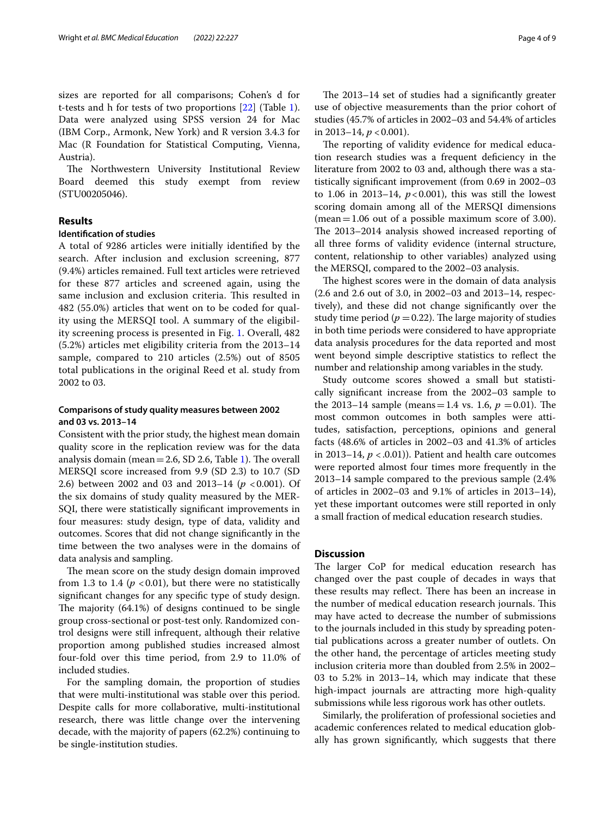sizes are reported for all comparisons; Cohen's d for t-tests and h for tests of two proportions [\[22\]](#page-8-17) (Table [1](#page-4-0)). Data were analyzed using SPSS version 24 for Mac (IBM Corp., Armonk, New York) and R version 3.4.3 for Mac (R Foundation for Statistical Computing, Vienna, Austria).

The Northwestern University Institutional Review Board deemed this study exempt from review (STU00205046).

# **Results**

# **Identifcation of studies**

A total of 9286 articles were initially identifed by the search. After inclusion and exclusion screening, 877 (9.4%) articles remained. Full text articles were retrieved for these 877 articles and screened again, using the same inclusion and exclusion criteria. This resulted in 482 (55.0%) articles that went on to be coded for quality using the MERSQI tool. A summary of the eligibility screening process is presented in Fig. [1](#page-5-0). Overall, 482 (5.2%) articles met eligibility criteria from the 2013–14 sample, compared to 210 articles (2.5%) out of 8505 total publications in the original Reed et al. study from 2002 to 03.

# **Comparisons of study quality measures between 2002 and 03 vs. 2013–14**

Consistent with the prior study, the highest mean domain quality score in the replication review was for the data analysis domain (mean  $=$  2.6, SD 2.6, Table [1\)](#page-4-0). The overall MERSQI score increased from 9.9 (SD 2.3) to 10.7 (SD 2.6) between 2002 and 03 and 2013–14 ( $p < 0.001$ ). Of the six domains of study quality measured by the MER-SQI, there were statistically signifcant improvements in four measures: study design, type of data, validity and outcomes. Scores that did not change signifcantly in the time between the two analyses were in the domains of data analysis and sampling.

The mean score on the study design domain improved from 1.3 to 1.4 ( $p < 0.01$ ), but there were no statistically signifcant changes for any specifc type of study design. The majority  $(64.1\%)$  of designs continued to be single group cross-sectional or post-test only. Randomized control designs were still infrequent, although their relative proportion among published studies increased almost four-fold over this time period, from 2.9 to 11.0% of included studies.

For the sampling domain, the proportion of studies that were multi-institutional was stable over this period. Despite calls for more collaborative, multi-institutional research, there was little change over the intervening decade, with the majority of papers (62.2%) continuing to be single-institution studies.

The 2013–14 set of studies had a significantly greater use of objective measurements than the prior cohort of studies (45.7% of articles in 2002–03 and 54.4% of articles in 2013–14,  $p < 0.001$ ).

The reporting of validity evidence for medical education research studies was a frequent defciency in the literature from 2002 to 03 and, although there was a statistically signifcant improvement (from 0.69 in 2002–03 to 1.06 in 2013–14,  $p < 0.001$ ), this was still the lowest scoring domain among all of the MERSQI dimensions (mean=1.06 out of a possible maximum score of 3.00). The 2013–2014 analysis showed increased reporting of all three forms of validity evidence (internal structure, content, relationship to other variables) analyzed using the MERSQI, compared to the 2002–03 analysis.

The highest scores were in the domain of data analysis (2.6 and 2.6 out of 3.0, in 2002–03 and 2013–14, respectively), and these did not change signifcantly over the study time period ( $p = 0.22$ ). The large majority of studies in both time periods were considered to have appropriate data analysis procedures for the data reported and most went beyond simple descriptive statistics to refect the number and relationship among variables in the study.

Study outcome scores showed a small but statistically signifcant increase from the 2002–03 sample to the 2013–14 sample (means = 1.4 vs. 1.6,  $p = 0.01$ ). The most common outcomes in both samples were attitudes, satisfaction, perceptions, opinions and general facts (48.6% of articles in 2002–03 and 41.3% of articles in 2013–14,  $p < .0.01$ )). Patient and health care outcomes were reported almost four times more frequently in the 2013–14 sample compared to the previous sample (2.4% of articles in 2002–03 and 9.1% of articles in 2013–14), yet these important outcomes were still reported in only a small fraction of medical education research studies.

# **Discussion**

The larger CoP for medical education research has changed over the past couple of decades in ways that these results may reflect. There has been an increase in the number of medical education research journals. This may have acted to decrease the number of submissions to the journals included in this study by spreading potential publications across a greater number of outlets. On the other hand, the percentage of articles meeting study inclusion criteria more than doubled from 2.5% in 2002– 03 to 5.2% in 2013–14, which may indicate that these high-impact journals are attracting more high-quality submissions while less rigorous work has other outlets.

Similarly, the proliferation of professional societies and academic conferences related to medical education globally has grown signifcantly, which suggests that there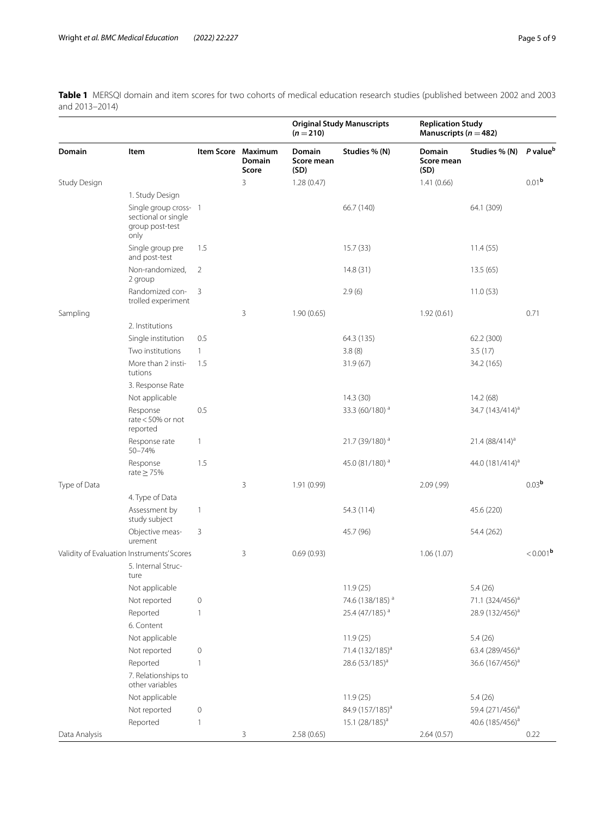<span id="page-4-0"></span>**Table 1** MERSQI domain and item scores for two cohorts of medical education research studies (published between 2002 and 2003 and 2013–2014)

| <b>Domain</b>                              | Item                                                                    |              | Item Score Maximum<br><b>Domain</b><br>Score | <b>Original Study Manuscripts</b><br>$(n=210)$ |                             | <b>Replication Study</b><br>Manuscripts ( $n = 482$ ) |                             |                      |
|--------------------------------------------|-------------------------------------------------------------------------|--------------|----------------------------------------------|------------------------------------------------|-----------------------------|-------------------------------------------------------|-----------------------------|----------------------|
|                                            |                                                                         |              |                                              | Domain<br>Score mean<br>(SD)                   | Studies % (N)               | <b>Domain</b><br>Score mean<br>(SD)                   | Studies % (N)               | P value <sup>b</sup> |
| Study Design                               |                                                                         |              | 3                                            | 1.28(0.47)                                     |                             | 1.41(0.66)                                            |                             | 0.01 <sup>b</sup>    |
|                                            | 1. Study Design                                                         |              |                                              |                                                |                             |                                                       |                             |                      |
|                                            | Single group cross- 1<br>sectional or single<br>group post-test<br>only |              |                                              |                                                | 66.7 (140)                  |                                                       | 64.1 (309)                  |                      |
|                                            | Single group pre<br>and post-test                                       | 1.5          |                                              |                                                | 15.7(33)                    |                                                       | 11.4(55)                    |                      |
|                                            | Non-randomized,<br>2 group                                              | 2            |                                              |                                                | 14.8(31)                    |                                                       | 13.5(65)                    |                      |
|                                            | Randomized con-<br>trolled experiment                                   | 3            |                                              |                                                | 2.9(6)                      |                                                       | 11.0(53)                    |                      |
| Sampling                                   |                                                                         |              | 3                                            | 1.90(0.65)                                     |                             | 1.92(0.61)                                            |                             | 0.71                 |
|                                            | 2. Institutions                                                         |              |                                              |                                                |                             |                                                       |                             |                      |
|                                            | Single institution                                                      | 0.5          |                                              |                                                | 64.3 (135)                  |                                                       | 62.2 (300)                  |                      |
|                                            | Two institutions                                                        | $\mathbf{1}$ |                                              |                                                | 3.8(8)                      |                                                       | 3.5(17)                     |                      |
|                                            | More than 2 insti-<br>tutions                                           | 1.5          |                                              |                                                | 31.9 (67)                   |                                                       | 34.2 (165)                  |                      |
|                                            | 3. Response Rate                                                        |              |                                              |                                                |                             |                                                       |                             |                      |
|                                            | Not applicable                                                          |              |                                              |                                                | 14.3(30)                    |                                                       | 14.2(68)                    |                      |
|                                            | Response<br>rate $<$ 50% or not<br>reported                             | 0.5          |                                              |                                                | 33.3 (60/180) <sup>a</sup>  |                                                       | 34.7 (143/414) <sup>a</sup> |                      |
|                                            | Response rate<br>50-74%                                                 | $\mathbf{1}$ |                                              |                                                | 21.7 (39/180) <sup>a</sup>  |                                                       | $21.4 (88/414)^a$           |                      |
|                                            | Response<br>rate $\geq$ 75%                                             | 1.5          |                                              |                                                | 45.0 (81/180) <sup>a</sup>  |                                                       | 44.0 (181/414) <sup>a</sup> |                      |
| Type of Data                               |                                                                         |              | 3                                            | 1.91(0.99)                                     |                             | 2.09(.99)                                             |                             | 0.03 <sup>b</sup>    |
|                                            | 4. Type of Data                                                         |              |                                              |                                                |                             |                                                       |                             |                      |
|                                            | Assessment by<br>study subject                                          | $\mathbf{1}$ |                                              |                                                | 54.3 (114)                  |                                                       | 45.6 (220)                  |                      |
|                                            | Objective meas-<br>urement                                              | 3            |                                              |                                                | 45.7 (96)                   |                                                       | 54.4 (262)                  |                      |
| Validity of Evaluation Instruments' Scores |                                                                         |              | 3                                            | 0.69(0.93)                                     |                             | 1.06(1.07)                                            |                             | < 0.001 <sup>b</sup> |
|                                            | 5. Internal Struc-<br>ture                                              |              |                                              |                                                |                             |                                                       |                             |                      |
|                                            | Not applicable                                                          |              |                                              |                                                | 11.9(25)                    |                                                       | 5.4(26)                     |                      |
|                                            | Not reported                                                            | $\mathbf 0$  |                                              |                                                | 74.6 (138/185) <sup>a</sup> |                                                       | 71.1 (324/456) <sup>a</sup> |                      |
|                                            | Reported                                                                | $\mathbf{1}$ |                                              |                                                | 25.4 (47/185) <sup>a</sup>  |                                                       | 28.9 (132/456) <sup>a</sup> |                      |
|                                            | 6. Content                                                              |              |                                              |                                                |                             |                                                       |                             |                      |
|                                            | Not applicable                                                          |              |                                              |                                                | 11.9(25)                    |                                                       | 5.4(26)                     |                      |
|                                            | Not reported                                                            | $\mathbf 0$  |                                              |                                                | 71.4 (132/185) <sup>a</sup> |                                                       | 63.4 (289/456) <sup>a</sup> |                      |
|                                            | Reported                                                                | $\mathbf{1}$ |                                              |                                                | 28.6 (53/185) <sup>a</sup>  |                                                       | 36.6 (167/456) <sup>a</sup> |                      |
|                                            | 7. Relationships to<br>other variables                                  |              |                                              |                                                |                             |                                                       |                             |                      |
|                                            | Not applicable                                                          |              |                                              |                                                | 11.9(25)                    |                                                       | 5.4(26)                     |                      |
|                                            | Not reported                                                            | $\mathbf 0$  |                                              |                                                | 84.9 (157/185) <sup>a</sup> |                                                       | 59.4 (271/456) <sup>a</sup> |                      |
|                                            | Reported                                                                | $\mathbf{1}$ |                                              |                                                | 15.1 (28/185) <sup>a</sup>  |                                                       | 40.6 (185/456) <sup>a</sup> |                      |
| Data Analysis                              |                                                                         |              | 3                                            | 2.58(0.65)                                     |                             | 2.64(0.57)                                            |                             | 0.22                 |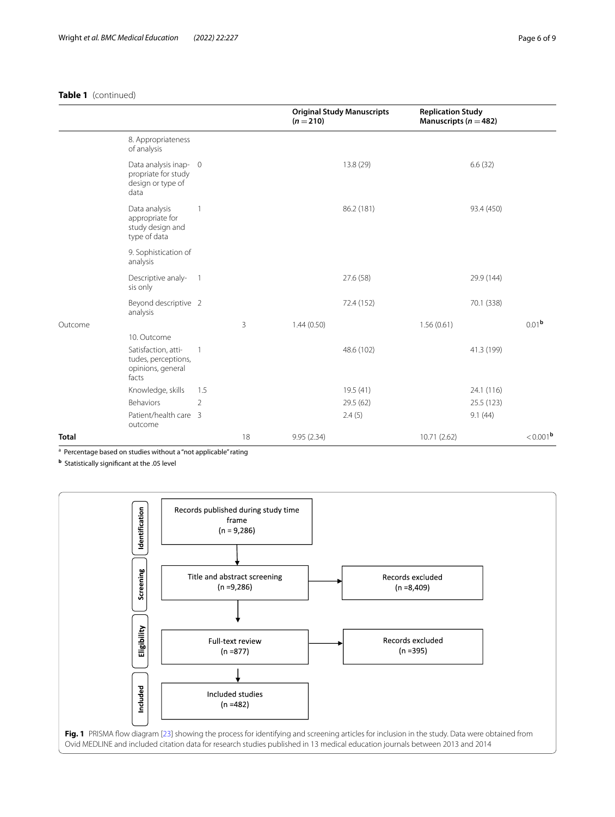# **Table 1** (continued)

|              |                                                                           |                |    | $(n=210)$  | <b>Original Study Manuscripts</b> |              | <b>Replication Study</b><br>Manuscripts ( $n = 482$ ) |                   |
|--------------|---------------------------------------------------------------------------|----------------|----|------------|-----------------------------------|--------------|-------------------------------------------------------|-------------------|
|              | 8. Appropriateness<br>of analysis                                         |                |    |            |                                   |              |                                                       |                   |
|              | Data analysis inap- 0<br>propriate for study<br>design or type of<br>data |                |    |            | 13.8 (29)                         |              | 6.6(32)                                               |                   |
|              | Data analysis<br>appropriate for<br>study design and<br>type of data      | 1              |    |            | 86.2 (181)                        |              | 93.4 (450)                                            |                   |
|              | 9. Sophistication of<br>analysis                                          |                |    |            |                                   |              |                                                       |                   |
|              | Descriptive analy-<br>sis only                                            | $\overline{1}$ |    |            | 27.6 (58)                         |              | 29.9 (144)                                            |                   |
|              | Beyond descriptive 2<br>analysis                                          |                |    |            | 72.4 (152)                        |              | 70.1 (338)                                            |                   |
| Outcome      |                                                                           |                | 3  | 1.44(0.50) |                                   | 1.56(0.61)   |                                                       | 0.01 <sup>b</sup> |
|              | 10. Outcome                                                               |                |    |            |                                   |              |                                                       |                   |
|              | Satisfaction, atti-<br>tudes, perceptions,<br>opinions, general<br>facts  | $\mathbf{1}$   |    |            | 48.6 (102)                        |              | 41.3 (199)                                            |                   |
|              | Knowledge, skills                                                         | 1.5            |    |            | 19.5(41)                          |              | 24.1 (116)                                            |                   |
|              | Behaviors                                                                 | $\overline{2}$ |    |            | 29.5 (62)                         |              | 25.5 (123)                                            |                   |
|              | Patient/health care 3<br>outcome                                          |                |    |            | 2.4(5)                            |              | 9.1(44)                                               |                   |
| <b>Total</b> |                                                                           |                | 18 | 9.95(2.34) |                                   | 10.71 (2.62) |                                                       | $< 0.001b$        |

<sup>a</sup> Percentage based on studies without a "not applicable" rating

**<sup>b</sup>** Statistically signifcant at the .05 level

<span id="page-5-0"></span>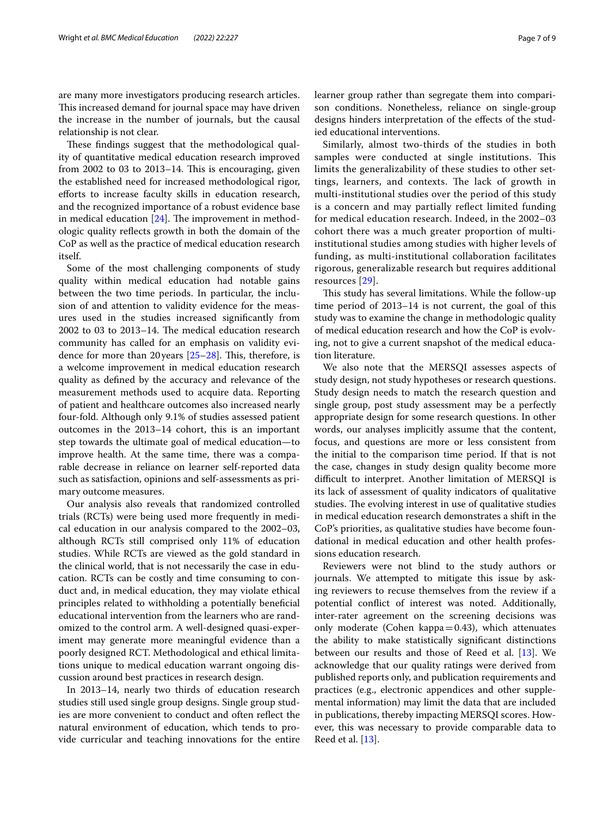These findings suggest that the methodological quality of quantitative medical education research improved from  $2002$  to  $03$  to  $2013-14$ . This is encouraging, given the established need for increased methodological rigor, eforts to increase faculty skills in education research, and the recognized importance of a robust evidence base in medical education  $[24]$  $[24]$  $[24]$ . The improvement in methodologic quality refects growth in both the domain of the CoP as well as the practice of medical education research itself.

Some of the most challenging components of study quality within medical education had notable gains between the two time periods. In particular, the inclusion of and attention to validity evidence for the measures used in the studies increased signifcantly from  $2002$  to 03 to  $2013-14$ . The medical education research community has called for an emphasis on validity evidence for more than 20 years  $[25-28]$  $[25-28]$ . This, therefore, is a welcome improvement in medical education research quality as defned by the accuracy and relevance of the measurement methods used to acquire data. Reporting of patient and healthcare outcomes also increased nearly four-fold. Although only 9.1% of studies assessed patient outcomes in the 2013–14 cohort, this is an important step towards the ultimate goal of medical education—to improve health. At the same time, there was a comparable decrease in reliance on learner self-reported data such as satisfaction, opinions and self-assessments as primary outcome measures.

Our analysis also reveals that randomized controlled trials (RCTs) were being used more frequently in medical education in our analysis compared to the 2002–03, although RCTs still comprised only 11% of education studies. While RCTs are viewed as the gold standard in the clinical world, that is not necessarily the case in education. RCTs can be costly and time consuming to conduct and, in medical education, they may violate ethical principles related to withholding a potentially benefcial educational intervention from the learners who are randomized to the control arm. A well-designed quasi-experiment may generate more meaningful evidence than a poorly designed RCT. Methodological and ethical limitations unique to medical education warrant ongoing discussion around best practices in research design.

In 2013–14, nearly two thirds of education research studies still used single group designs. Single group studies are more convenient to conduct and often refect the natural environment of education, which tends to provide curricular and teaching innovations for the entire learner group rather than segregate them into comparison conditions. Nonetheless, reliance on single-group designs hinders interpretation of the efects of the studied educational interventions.

Similarly, almost two-thirds of the studies in both samples were conducted at single institutions. This limits the generalizability of these studies to other settings, learners, and contexts. The lack of growth in multi-institutional studies over the period of this study is a concern and may partially refect limited funding for medical education research. Indeed, in the 2002–03 cohort there was a much greater proportion of multiinstitutional studies among studies with higher levels of funding, as multi-institutional collaboration facilitates rigorous, generalizable research but requires additional resources [[29\]](#page-8-22).

This study has several limitations. While the follow-up time period of 2013–14 is not current, the goal of this study was to examine the change in methodologic quality of medical education research and how the CoP is evolving, not to give a current snapshot of the medical education literature.

We also note that the MERSQI assesses aspects of study design, not study hypotheses or research questions. Study design needs to match the research question and single group, post study assessment may be a perfectly appropriate design for some research questions. In other words, our analyses implicitly assume that the content, focus, and questions are more or less consistent from the initial to the comparison time period. If that is not the case, changes in study design quality become more difficult to interpret. Another limitation of MERSQI is its lack of assessment of quality indicators of qualitative studies. The evolving interest in use of qualitative studies in medical education research demonstrates a shift in the CoP's priorities, as qualitative studies have become foundational in medical education and other health professions education research.

Reviewers were not blind to the study authors or journals. We attempted to mitigate this issue by asking reviewers to recuse themselves from the review if a potential confict of interest was noted. Additionally, inter-rater agreement on the screening decisions was only moderate (Cohen kappa $=0.43$ ), which attenuates the ability to make statistically signifcant distinctions between our results and those of Reed et al. [\[13](#page-8-9)]. We acknowledge that our quality ratings were derived from published reports only, and publication requirements and practices (e.g., electronic appendices and other supplemental information) may limit the data that are included in publications, thereby impacting MERSQI scores. However, this was necessary to provide comparable data to Reed et al. [\[13](#page-8-9)].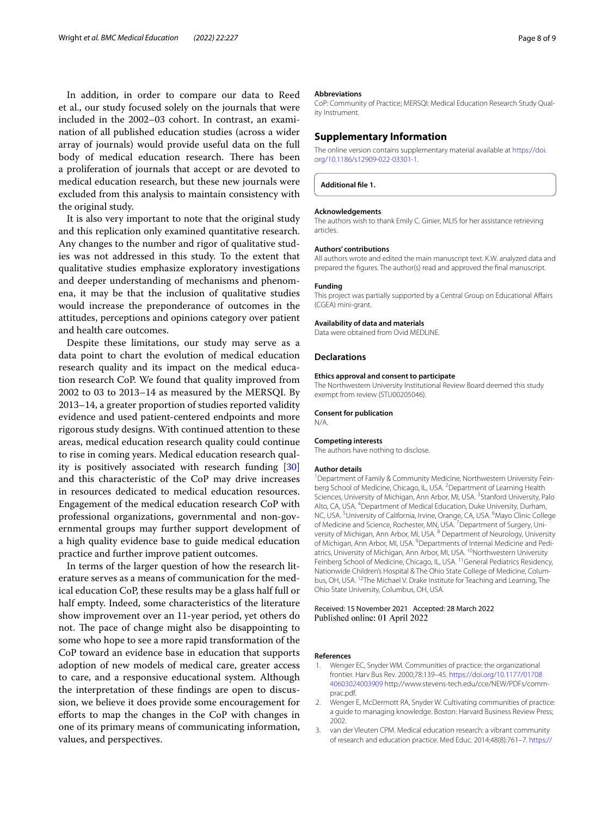In addition, in order to compare our data to Reed et al., our study focused solely on the journals that were included in the 2002–03 cohort. In contrast, an examination of all published education studies (across a wider array of journals) would provide useful data on the full body of medical education research. There has been a proliferation of journals that accept or are devoted to medical education research, but these new journals were excluded from this analysis to maintain consistency with the original study.

It is also very important to note that the original study and this replication only examined quantitative research. Any changes to the number and rigor of qualitative studies was not addressed in this study. To the extent that qualitative studies emphasize exploratory investigations and deeper understanding of mechanisms and phenomena, it may be that the inclusion of qualitative studies would increase the preponderance of outcomes in the attitudes, perceptions and opinions category over patient and health care outcomes.

Despite these limitations, our study may serve as a data point to chart the evolution of medical education research quality and its impact on the medical education research CoP. We found that quality improved from 2002 to 03 to 2013–14 as measured by the MERSQI. By 2013–14, a greater proportion of studies reported validity evidence and used patient-centered endpoints and more rigorous study designs. With continued attention to these areas, medical education research quality could continue to rise in coming years. Medical education research quality is positively associated with research funding [[30](#page-8-23)] and this characteristic of the CoP may drive increases in resources dedicated to medical education resources. Engagement of the medical education research CoP with professional organizations, governmental and non-governmental groups may further support development of a high quality evidence base to guide medical education practice and further improve patient outcomes.

In terms of the larger question of how the research literature serves as a means of communication for the medical education CoP, these results may be a glass half full or half empty. Indeed, some characteristics of the literature show improvement over an 11-year period, yet others do not. The pace of change might also be disappointing to some who hope to see a more rapid transformation of the CoP toward an evidence base in education that supports adoption of new models of medical care, greater access to care, and a responsive educational system. Although the interpretation of these fndings are open to discussion, we believe it does provide some encouragement for eforts to map the changes in the CoP with changes in one of its primary means of communicating information, values, and perspectives.

#### **Abbreviations**

CoP: Community of Practice; MERSQI: Medical Education Research Study Quality Instrument.

# **Supplementary Information**

The online version contains supplementary material available at [https://doi.](https://doi.org/10.1186/s12909-022-03301-1) [org/10.1186/s12909-022-03301-1](https://doi.org/10.1186/s12909-022-03301-1).

**Additional fle 1.**

#### **Acknowledgements**

The authors wish to thank Emily C. Ginier, MLIS for her assistance retrieving articles.

#### **Authors' contributions**

All authors wrote and edited the main manuscript text. K.W. analyzed data and prepared the fgures. The author(s) read and approved the fnal manuscript.

#### **Funding**

This project was partially supported by a Central Group on Educational Afairs (CGEA) mini-grant.

#### **Availability of data and materials**

Data were obtained from Ovid MEDLINE.

#### **Declarations**

#### **Ethics approval and consent to participate**

The Northwestern University Institutional Review Board deemed this study exempt from review (STU00205046).

#### **Consent for publication**

N/A.

# **Competing interests**

The authors have nothing to disclose.

#### **Author details**

<sup>1</sup> Department of Family & Community Medicine, Northwestern University Feinberg School of Medicine, Chicago, IL, USA. <sup>2</sup> Department of Learning Health Sciences, University of Michigan, Ann Arbor, MI, USA. <sup>3</sup> Stanford University, Palo Alto, CA, USA. 4 Department of Medical Education, Duke University, Durham, NC, USA.<sup>5</sup> University of California, Irvine, Orange, CA, USA.<sup>6</sup> Mayo Clinic College of Medicine and Science, Rochester, MN, USA.<sup>7</sup> Department of Surgery, University of Michigan, Ann Arbor, MI, USA. <sup>8</sup> Department of Neurology, University of Michigan, Ann Arbor, MI, USA. <sup>9</sup> Departments of Internal Medicine and Pediatrics, University of Michigan, Ann Arbor, MI, USA. <sup>10</sup>Northwestern University Feinberg School of Medicine, Chicago, IL, USA. <sup>11</sup>General Pediatrics Residency, Nationwide Children's Hospital & The Ohio State College of Medicine, Columbus, OH, USA. 12The Michael V. Drake Institute for Teaching and Learning, The Ohio State University, Columbus, OH, USA.

#### Received: 15 November 2021 Accepted: 28 March 2022 Published online: 01 April 2022

# **References**

- <span id="page-7-0"></span>1. Wenger EC, Snyder WM. Communities of practice: the organizational frontier. Harv Bus Rev. 2000;78:139–45. [https://doi.org/10.1177/01708](https://doi.org/10.1177/0170840603024003909) [40603024003909](https://doi.org/10.1177/0170840603024003909) http://www.stevens-tech.edu/cce/NEW/PDFs/commprac.pdf.
- <span id="page-7-1"></span>2. Wenger E, McDermott RA, Snyder W. Cultivating communities of practice: a guide to managing knowledge. Boston: Harvard Business Review Press; 2002.
- 3. van der Vleuten CPM. Medical education research: a vibrant community of research and education practice. Med Educ. 2014;48(8):761–7. [https://](https://doi.org/10.1111/medu.12508)